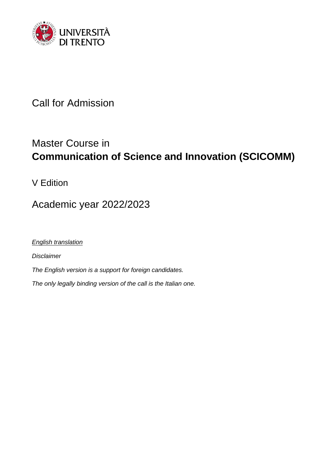

Call for Admission

# Master Course in **Communication of Science and Innovation (SCICOMM)**

V Edition

Academic year 2022/2023

*English translation*

*Disclaimer*

*The English version is a support for foreign candidates.*

*The only legally binding version of the call is the Italian one.*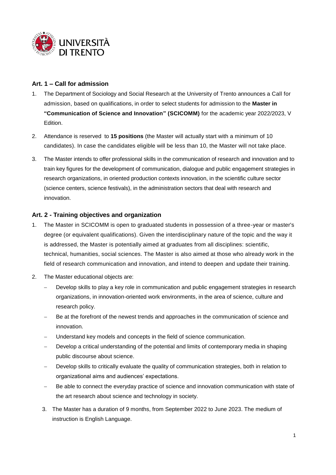

## **Art. 1 – Call for admission**

- 1. The Department of Sociology and Social Research at the University of Trento announces a Call for admission, based on qualifications, in order to select students for admission to the **Master in "Communication of Science and Innovation" (SCICOMM)** for the academic year 2022/2023, V Edition.
- 2. Attendance is reserved to **15 positions** (the Master [will](https://dictionary.cambridge.org/it/dizionario/inglese-italiano/will) actually start [with](https://dictionary.cambridge.org/it/dizionario/inglese-italiano/with) [a](https://dictionary.cambridge.org/it/dizionario/inglese-italiano/a) [minimum](https://dictionary.cambridge.org/it/dizionario/inglese-italiano/minimum) [of](https://dictionary.cambridge.org/it/dizionario/inglese-italiano/of) 10 candidates). In case the candidates eligible will be less than 10, the Master will not take place.
- 3. The Master intends to offer professional skills in the communication of research and innovation and to train key figures for the development of communication, dialogue and public engagement strategies in research organizations, in oriented production contexts innovation, in the scientific culture sector (science centers, science festivals), in the administration sectors that deal with research and innovation.

### **Art. 2 - Training objectives and organization**

- 1. The Master in SCICOMM is open to graduated students in possession of a three-year or master's degree (or equivalent qualifications). Given the interdisciplinary nature of the topic and the way it is addressed, the Master is potentially aimed at graduates from all disciplines: scientific, technical, humanities, social sciences. The Master is also aimed at those who already work in the field of research communication and innovation, and intend to deepen and update their training.
- 2. The Master educational objects are:
	- Develop skills to play a key role in communication and public engagement strategies in research organizations, in innovation-oriented work environments, in the area of science, culture and research policy.
	- Be at the forefront of the newest trends and approaches in the communication of science and innovation.
	- Understand key models and concepts in the field of science communication.
	- Develop a critical understanding of the potential and limits of contemporary media in shaping public discourse about science.
	- Develop skills to critically evaluate the quality of communication strategies, both in relation to organizational aims and audiences' expectations.
	- Be able to connect the everyday practice of science and innovation communication with state of the art research about science and technology in society.
	- 3. The Master has a duration of 9 months, from September 2022 to June 2023. The medium of instruction is English Language.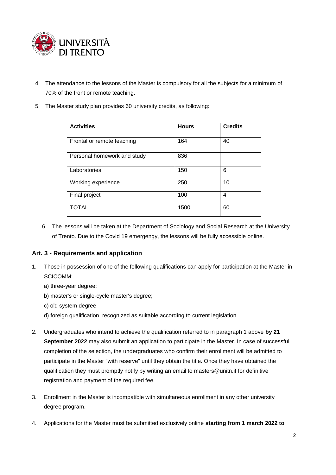

- 4. The attendance to the lessons of the Master is compulsory for all the subjects for [a](https://dictionary.cambridge.org/it/dizionario/inglese-italiano/a) [minimum](https://dictionary.cambridge.org/it/dizionario/inglese-italiano/minimum) [of](https://dictionary.cambridge.org/it/dizionario/inglese-italiano/of) 70% of the front or remote teaching.
- 5. The Master study plan provides 60 university credits, as following:

| <b>Activities</b>           | <b>Hours</b> | <b>Credits</b> |
|-----------------------------|--------------|----------------|
| Frontal or remote teaching  | 164          | 40             |
| Personal homework and study | 836          |                |
| Laboratories                | 150          | 6              |
| Working experience          | 250          | 10             |
| Final project               | 100          | 4              |
| <b>TOTAL</b>                | 1500         | 60             |

6. The lessons will be taken at the Department of Sociology and Social Research at the University of Trento. Due to the Covid 19 emergengy, the lessons will be fully accessible online.

### **Art. 3 - Requirements and application**

- 1. Those in possession of one of the following qualifications can apply for participation at the Master in SCICOMM:
	- a) three-year degree;
	- b) master's or single-cycle master's degree;
	- c) old system degree
	- d) foreign qualification, recognized as suitable according to current legislation.
- 2. Undergraduates who intend to achieve the qualification referred to in paragraph 1 above **by 21 September 2022** may also submit an application to participate in the Master. In case of successful completion of the selection, the undergraduates who confirm their enrollment will be admitted to participate in the Master "with reserve" until they obtain the title. Once they have obtained the qualification they must promptly notify by writing an email to masters@unitn.it for definitive registration and payment of the required fee.
- 3. Enrollment in the Master is incompatible with simultaneous enrollment in any other university degree program.
- 4. Applications for the Master must be submitted exclusively online **starting from 1 march 2022 to**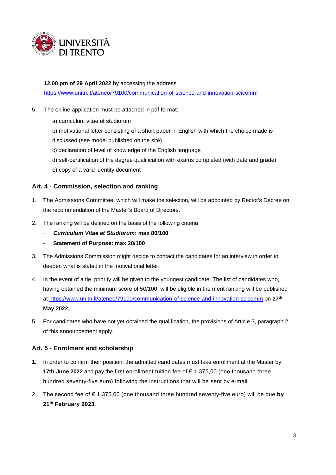

#### **12.00 pm of 29 April 2022** by accessing the address

<https://www.unitn.it/ateneo/79100/communication-of-science-and-innovation-scicomm>

- 5. The online application must be attached in pdf format:
	- a) curriculum vitae et studiorum

b) motivational letter consisting of a short paper in English with which the choice made is discussed (see model published on the site)

- c) declaration of level of knowledge of the English language
- d) self-certification of the degree qualification with exams completed (with date and grade)
- e) copy of a valid identity document

### **Art. 4 - Commission, selection and ranking**

- 1. The Admissions Committee, which will make the selection, will be appointed by Rector's Decree on the recommendation of the Master's Board of Directors.
- 2. The ranking will be defined on the basis of the following criteria
	- *Curriculum Vitae et Studiorum***: max 80/100**
	- **Statement of Purpose: max 20/100**
- 3. The Admissions Commission might decide to contact the candidates for an interview in order to deepen what is stated in the motivational letter.
- 4. In the event of a tie, priority will be given to the youngest candidate. The list of candidates who, having obtained the minimum score of 50/100, will be eligible in the merit ranking will be published at<https://www.unitn.it/ateneo/79100/communication-of-science-and-innovation-scicomm> on **27th May 2022.**
- 5. For candidates who have not yet obtained the qualification, the provisions of Article 3, paragraph 2 of this announcement apply.

### **Art. 5 - Enrolment and scholarship**

- **1.** In order to confirm their position, the admitted candidates must take enrollment at the Master by **17th June 2022** and pay the first enrollment tuition fee of € 1.375,00 (one thousand three hundred seventy-five euro) following the instructions that will be sent by e-mail.
- 2. The second fee of € 1.375,00 (one thousand three hundred seventy-five euro) will be due **by 21 th February 2023**.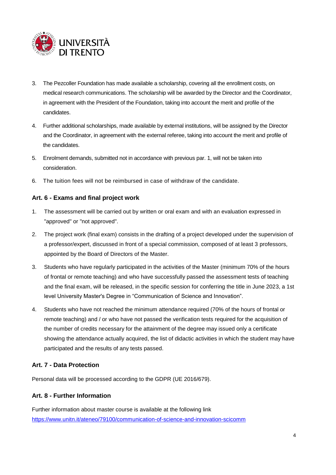

- 3. The Pezcoller Foundation has made available a scholarship, covering all the enrollment costs, on medical research communications. The scholarship will be awarded by the Director and the Coordinator, in agreement with the President of the Foundation, taking into account the merit and profile of the candidates.
- 4. Further additional scholarships, made available by external institutions, will be assigned by the Director and the Coordinator, in agreement with the external referee, taking into account the merit and profile of the candidates.
- 5. Enrolment demands, submitted not in accordance with previous par. 1, will not be taken into consideration.
- 6. The tuition fees will not be reimbursed in case of withdraw of the candidate.

### **Art. 6 - Exams and final project work**

- 1. The assessment will be carried out by written or oral exam and with an evaluation expressed in "approved" or "not approved".
- 2. The project work (final exam) consists in the drafting of a project developed under the supervision of a professor/expert, discussed in front of a special commission, composed of at least 3 professors, appointed by the Board of Directors of the Master.
- 3. Students who have regularly participated in the activities of the Master (minimum 70% of the hours of frontal or remote teaching) and who have successfully passed the assessment tests of teaching and the final exam, will be released, in the specific session for conferring the title in June 2023, a 1st level University Master's Degree in "Communication of Science and Innovation".
- 4. Students who have not reached the minimum attendance required (70% of the hours of frontal or remote teaching) and / or who have not passed the verification tests required for the acquisition of the number of credits necessary for the attainment of the degree may issued only a certificate showing the attendance actually acquired, the list of didactic activities in which the student may have participated and the results of any tests passed.

## **Art. 7 - Data Protection**

Personal data will be processed according to the GDPR (UE 2016/679).

### **Art. 8 - Further Information**

Further information about master course is available at the following link <https://www.unitn.it/ateneo/79100/communication-of-science-and-innovation-scicomm>